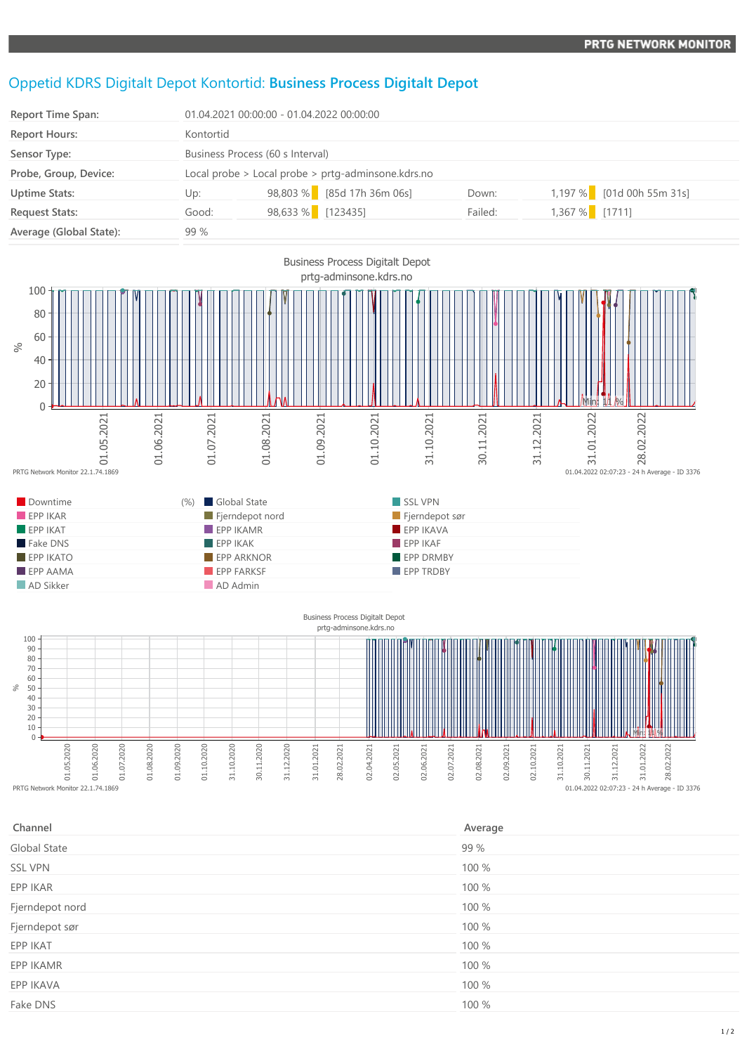## Oppetid KDRS Digitalt Depot Kontortid: **Business Process Digitalt Depot**

| <b>Report Time Span:</b> |           | 01.04.2021 00:00:00 - 01.04.2022 00:00:00          |         |                 |                             |  |
|--------------------------|-----------|----------------------------------------------------|---------|-----------------|-----------------------------|--|
| <b>Report Hours:</b>     | Kontortid |                                                    |         |                 |                             |  |
| Sensor Type:             |           | Business Process (60 s Interval)                   |         |                 |                             |  |
| Probe, Group, Device:    |           | Local probe > Local probe > prtg-adminsone.kdrs.no |         |                 |                             |  |
| <b>Uptime Stats:</b>     | Up:       | 98,803 % [85d 17h 36m 06s]                         | Down:   |                 | $1,197\%$ [01d 00h 55m 31s] |  |
| <b>Request Stats:</b>    | Good:     | 98,633 % [123435]                                  | Failed: | $1,367%$ [1711] |                             |  |
| Average (Global State):  | 99 %      |                                                    |         |                 |                             |  |



01.05.2020 01.06.2020 01.07.2020 01.08.2020 01.09.2020 01.10.2020 31.10.2020 30.11.2020 31.12.2020 31.01.2021 28.02.2021 02.04.2021 02.05.2021 02.06.2021 02.07.2021 02.08.2021 02.09.2021 02.10.2021

| Channel         | Average |
|-----------------|---------|
| Global State    | 99 %    |
| <b>SSL VPN</b>  | 100 %   |
| EPP IKAR        | 100 %   |
| Fjerndepot nord | 100 %   |
| Fjerndepot sør  | 100 %   |
| EPP IKAT        | 100 %   |
| EPP IKAMR       | 100 %   |
| EPP IKAVA       | 100 %   |
| Fake DNS        | 100 %   |
|                 |         |

 $\begin{array}{c} 0.1.04.2022 \ 0.02:07:23 - 24 \end{array}$  h Average - ID 3376